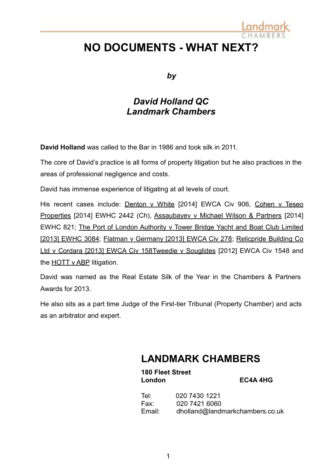# **NO DOCUMENTS - WHAT NEXT?**

*by*

## *David Holland QC Landmark Chambers*

**David Holland** was called to the Bar in 1986 and took silk in 2011.

The core of David's practice is all forms of property litigation but he also practices in the areas of professional negligence and costs.

David has immense experience of litigating at all levels of court.

His recent cases include: Denton v White [2014] EWCA Civ 906, Cohen v Teseo Properties [2014] EWHC 2442 (Ch), Assaubayev v Michael Wilson & Partners [2014] EWHC 821; The Port of London Authority v Tower Bridge Yacht and Boat [Club Limited](http://www.landmarkchambers.co.uk/expertise/case/the_port_of_london_authority_v_tower_bridge_yacht_and_boat_club_limited_201) [2013] [EWHC](http://www.landmarkchambers.co.uk/expertise/case/the_port_of_london_authority_v_tower_bridge_yacht_and_boat_club_limited_201) 3084; Flatman [v Germany \[2013\]](http://www.landmarkchambers.co.uk/expertise/case/flatman_v_germany_2013_ewca_civ_278) EWCA Civ 278; [Relicpride](http://www.landmarkchambers.co.uk/expertise/case/relicpride_building_co_ltd_v_cordara_2013_ewca_civ_158) Building Co Ltd v Cordara [\[2013\] EWCA](http://www.landmarkchambers.co.uk/expertise/case/relicpride_building_co_ltd_v_cordara_2013_ewca_civ_158) Civ 158Tweedie v Souglides [2012] EWCA Civ 1548 and the **HOTT** v ABP litigation.

David was named as the Real Estate Silk of the Year in the Chambers & Partners Awards for 2013.

He also sits as a part time Judge of the First-tier Tribunal (Property Chamber) and acts as an arbitrator and expert.

## **LANDMARK CHAMBERS**

**180 Fleet Street London EC4A 4HG**

Tel: 020 7430 1221 Fax: 020 7421 6060 Email: [dholland@landmarkchambers.co.uk](mailto:dholland@landmarkchambers.co.uk)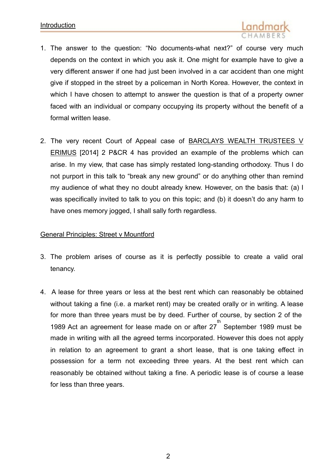- 1. The answer to the question: "No documents-what next?" of course very much depends on the context in which you ask it. One might for example have to give a very different answer if one had just been involved in a car accident than one might give if stopped in the street by a policeman in North Korea. However, the context in which I have chosen to attempt to answer the question is that of a property owner faced with an individual or company occupying its property without the benefit of a formal written lease.
- 2. The very recent Court of Appeal case of BARCLAYS WEALTH TRUSTEES V ERIMUS [2014] 2 P&CR 4 has provided an example of the problems which can arise. In my view, that case has simply restated long-standing orthodoxy. Thus I do not purport in this talk to "break any new ground" or do anything other than remind my audience of what they no doubt already knew. However, on the basis that: (a) I was specifically invited to talk to you on this topic; and (b) it doesn't do any harm to have ones memory jogged, I shall sally forth regardless.

### General Principles: Street v Mountford

- 3. The problem arises of course as it is perfectly possible to create a valid oral tenancy.
- 4. A lease for three years or less at the best rent which can reasonably be obtained without taking a fine (i.e. a market rent) may be created orally or in writing. A lease for more than three years must be by deed. Further of course, by section 2 of the 1989 Act an agreement for lease made on or after  $27^{th}$  September 1989 must be made in writing with all the agreed terms incorporated. However this does not apply in relation to an agreement to grant a short lease, that is one taking effect in possession for a term not exceeding three years. At the best rent which can reasonably be obtained without taking a fine. A periodic lease is of course a lease for less than three years.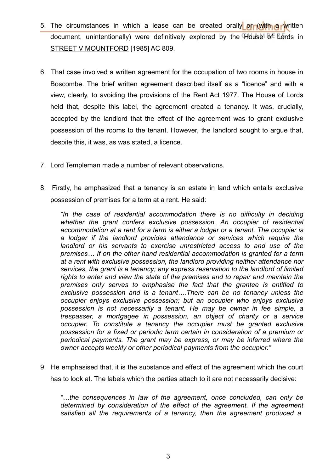- 5. The circumstances in which a lease can be created orally  $\text{or } (\text{with } a \text{ or } b)$ document, unintentionally) were definitively explored by the House of Lords in STREET V MOUNTFORD [1985] AC 809.
- 6. That case involved a written agreement for the occupation of two rooms in house in Boscombe. The brief written agreement described itself as a "licence" and with a view, clearly, to avoiding the provisions of the Rent Act 1977. The House of Lords held that, despite this label, the agreement created a tenancy. It was, crucially, accepted by the landlord that the effect of the agreement was to grant exclusive possession of the rooms to the tenant. However, the landlord sought to argue that, despite this, it was, as was stated, a licence.
- 7. Lord Templeman made a number of relevant observations.
- 8. Firstly, he emphasized that a tenancy is an estate in land which entails exclusive possession of premises for a term at a rent. He said:

*"In the case of residential accommodation there is no difficulty in deciding whether the grant confers exclusive possession. An occupier of residential accommodation at a rent for a term is either a lodger or a tenant. The occupier is a lodger if the landlord provides attendance or services which require the landlord or his servants to exercise unrestricted access to and use of the premises… If on the other hand residential accommodation is granted for a term at a rent with exclusive possession, the landlord providing neither attendance nor services, the grant is a tenancy; any express reservation to the landlord of limited rights to enter and view the state of the premises and to repair and maintain the premises only serves to emphasise the fact that the grantee is entitled to exclusive possession and is a tenant….There can be no tenancy unless the occupier enjoys exclusive possession; but an occupier who enjoys exclusive possession is not necessarily a tenant. He may be owner in fee simple, a trespasser, a mortgagee in possession, an object of charity or a service occupier. To constitute a tenancy the occupier must be granted exclusive possession for a fixed or periodic term certain in consideration of a premium or periodical payments. The grant may be express, or may be inferred where the owner accepts weekly or other periodical payments from the occupier."*

9. He emphasised that, it is the substance and effect of the agreement which the court has to look at. The labels which the parties attach to it are not necessarily decisive:

*"…the consequences in law of the agreement, once concluded, can only be determined by consideration of the effect of the agreement. If the agreement satisfied all the requirements of a tenancy, then the agreement produced a*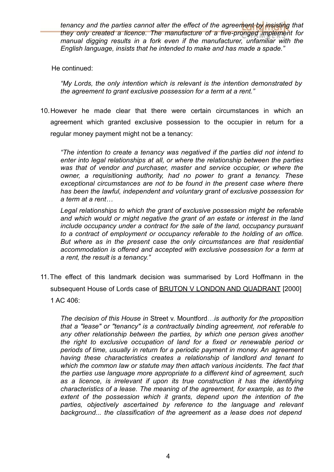*tenancy and the parties cannot alter the effect of the agreement by insisting that they only created a licence. The manufacture of a five-pronged implement for manual digging results in a fork even if the manufacturer, unfamiliar with the English language, insists that he intended to make and has made a spade."*

He continued:

*"My Lords, the only intention which is relevant is the intention demonstrated by the agreement to grant exclusive possession for a term at a rent."*

10.However he made clear that there were certain circumstances in which an agreement which granted exclusive possession to the occupier in return for a regular money payment might not be a tenancy:

*"The intention to create a tenancy was negatived if the parties did not intend to enter into legal relationships at all, or where the relationship between the parties was that of vendor and purchaser, master and service occupier, or where the owner, a requisitioning authority, had no power to grant a tenancy. These exceptional circumstances are not to be found in the present case where there has been the lawful, independent and voluntary grant of exclusive possession for a term at a rent…*

*Legal relationships to which the grant of exclusive possession might be referable and which would or might negative the grant of an estate or interest in the land include occupancy under a contract for the sale of the land, occupancy pursuant to a contract of employment or occupancy referable to the holding of an office. But where as in the present case the only circumstances are that residential accommodation is offered and accepted with exclusive possession for a term at a rent, the result is a tenancy."*

11.The effect of this landmark decision was summarised by Lord Hoffmann in the subsequent House of Lords case of BRUTON V LONDON AND QUADRANT [2000] 1 AC 406:

*The decision of this House in* Street v. [Mountford](http://login.westlaw.co.uk/maf/wluk/app/document?src=doc&linktype=ref&context=31&crumb-action=replace&docguid=IC01CD230E42811DA8FC2A0F0355337E9)…*is authority for the proposition that a "lease" or "tenancy" is a contractually binding agreement, not referable to any other relationship between the parties, by which one person gives another the right to exclusive occupation of land for a fixed or renewable period or periods of time, usually in return for a periodic payment in money. An agreement having these characteristics creates a relationship of landlord and tenant to which the common law or statute may then attach various incidents. The fact that the parties use language more appropriate to a different kind of agreement, such as a licence, is irrelevant if upon its true construction it has the identifying characteristics of a lease. The meaning of the agreement, for example, as to the*  extent of the possession which it grants, depend upon the intention of the *parties, objectively ascertained by reference to the language and relevant background... the classification of the agreement as a lease does not depend*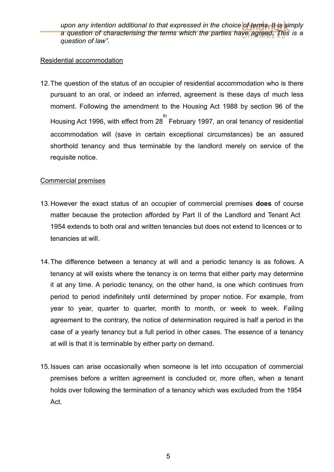*upon any intention additional to that expressed in the choice of terms. It is simply a question of characterising the terms which the parties have agreed. This is a question of law".*

#### Residential accommodation

12.The question of the status of an occupier of residential accommodation who is there pursuant to an oral, or indeed an inferred, agreement is these days of much less moment. Following the amendment to the Housing Act 1988 by section 96 of the Housing Act 1996, with effect from 28  $^{\text{th}}$  February 1997, an oral tenancy of residential accommodation will (save in certain exceptional circumstances) be an assured shorthold tenancy and thus terminable by the landlord merely on service of the requisite notice.

#### Commercial premises

- 13.However the exact status of an occupier of commercial premises **does** of course matter because the protection afforded by Part II of the Landlord and Tenant Act 1954 extends to both oral and written tenancies but does not extend to licences or to tenancies at will.
- 14.The difference between a tenancy at will and a periodic tenancy is as follows. A tenancy at will exists where the tenancy is on terms that either party may determine it at any time. A periodic tenancy, on the other hand, is one which continues from period to period indefinitely until determined by proper notice. For example, from year to year, quarter to quarter, month to month, or week to week. Failing agreement to the contrary, the notice of determination required is half a period in the case of a yearly tenancy but a full period in other cases. The essence of a tenancy at will is that it is terminable by either party on demand.
- 15.Issues can arise occasionally when someone is let into occupation of commercial premises before a written agreement is concluded or, more often, when a tenant holds over following the termination of a tenancy which was excluded from the 1954 Act.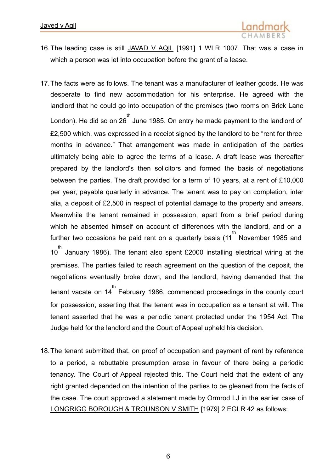

- 16.The leading case is still JAVAD V AQIL [1991] 1 WLR 1007. That was a case in which a person was let into occupation before the grant of a lease.
- 17.The facts were as follows. The tenant was a manufacturer of leather goods. He was desperate to find new accommodation for his enterprise. He agreed with the landlord that he could go into occupation of the premises (two rooms on Brick Lane London). He did so on 26 <sup>th</sup> June 1985. On entry he made payment to the landlord of £2,500 which, was expressed in a receipt signed by the landlord to be "rent for three months in advance." That arrangement was made in anticipation of the parties ultimately being able to agree the terms of a lease. A draft lease was thereafter prepared by the landlord's then solicitors and formed the basis of negotiations between the parties. The draft provided for a term of 10 years, at a rent of £10,000 per year, payable quarterly in advance. The tenant was to pay on completion, inter alia, a deposit of £2,500 in respect of potential damage to the property and arrears. Meanwhile the tenant remained in possession, apart from a brief period during which he absented himself on account of differences with the landlord, and on a further two occasions he paid rent on a quarterly basis (11<sup>th</sup> November 1985 and th January 1986). The tenant also spent £2000 installing electrical wiring at the premises. The parties failed to reach agreement on the question of the deposit, the negotiations eventually broke down, and the landlord, having demanded that the tenant vacate on 14 th February 1986, commenced proceedings in the county court for possession, asserting that the tenant was in occupation as a tenant at will. The tenant asserted that he was a periodic tenant protected under the 1954 Act. The Judge held for the landlord and the Court of Appeal upheld his decision.
- 18.The tenant submitted that, on proof of occupation and payment of rent by reference to a period, a rebuttable presumption arose in favour of there being a periodic tenancy. The Court of Appeal rejected this. The Court held that the extent of any right granted depended on the intention of the parties to be gleaned from the facts of the case. The court approved a statement made by Ormrod LJ in the earlier case of LONGRIGG BOROUGH & TROUNSON V SMITH [1979] 2 EGLR 42 as follows: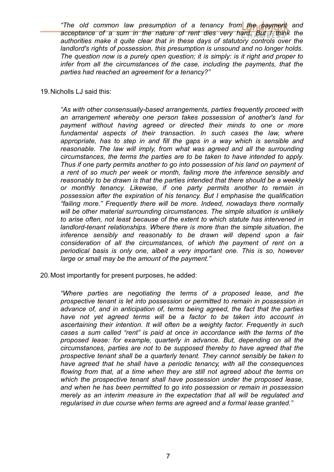*"The old common law presumption of a tenancy from the payment and*  acceptance of a sum in the nature of rent dies very hard. But I think the *authorities make it quite clear that in these days of statutory controls over the landlord's rights of possession, this presumption is unsound and no longer holds. The question now is a purely open question; it is simply: is it right and proper to infer from all the circumstances of the case, including the payments, that the parties had reached an agreement for a tenancy?"*

#### 19.Nicholls LJ said this:

*"As with other consensually-based arrangements, parties frequently proceed with an arrangement whereby one person takes possession of another's land for payment without having agreed or directed their minds to one or more fundamental aspects of their transaction. In such cases the law, where appropriate, has to step in and fill the gaps in a way which is sensible and reasonable. The law will imply, from what was agreed and all the surrounding circumstances, the terms the parties are to be taken to have intended to apply. Thus if one party permits another to go into possession of his land on payment of a rent of so much per week or month, failing more the inference sensibly and reasonably to be drawn is that the parties intended that there should be a weekly or monthly tenancy. Likewise, if one party permits another to remain in possession after the expiration of his tenancy. But I emphasise the qualification "failing more." Frequently there will be more. Indeed, nowadays there normally will be other material surrounding circumstances. The simple situation is unlikely to arise often, not least because of the extent to which statute has intervened in landlord-tenant relationships. Where there is more than the simple situation, the inference sensibly and reasonably to be drawn will depend upon a fair consideration of all the circumstances, of which the payment of rent on a periodical basis is only one, albeit a very important one. This is so, however large or small may be the amount of the payment."*

20.Most importantly for present purposes, he added:

*"Where parties are negotiating the terms of a proposed lease, and the prospective tenant is let into possession or permitted to remain in possession in advance of, and in anticipation of, terms being agreed, the fact that the parties have not yet agreed terms will be a factor to be taken into account in ascertaining their intention. It will often be a weighty factor. Frequently in such cases a sum called "rent" is paid at once in accordance with the terms of the proposed lease: for example, quarterly in advance. But, depending on all the circumstances, parties are not to be supposed thereby to have agreed that the prospective tenant shall be a quarterly tenant. They cannot sensibly be taken to have agreed that he shall have a periodic tenancy, with all the consequences flowing from that, at a time when they are still not agreed about the terms on which the prospective tenant shall have possession under the proposed lease, and when he has been permitted to go into possession or remain in possession merely as an interim measure in the expectation that all will be regulated and regularised in due course when terms are agreed and a formal lease granted."*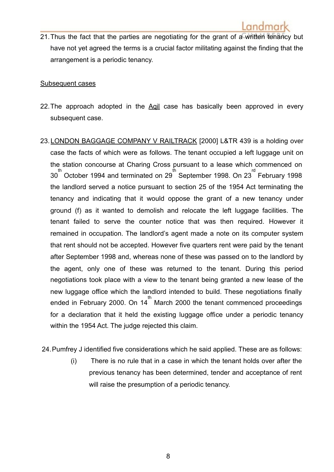# Landmark

21.Thus the fact that the parties are negotiating for the grant of a written tenancy but have not yet agreed the terms is a crucial factor militating against the finding that the arrangement is a periodic tenancy.

#### Subsequent cases

- 22. The approach adopted in the Aqil case has basically been approved in every subsequent case.
- 23.LONDON BAGGAGE COMPANY V RAILTRACK [2000] L&TR 439 is a holding over case the facts of which were as follows. The tenant occupied a left luggage unit on the station concourse at Charing Cross pursuant to a lease which commenced on  $30^{th}$  October 1994 and terminated on 29 $^{th}$  September 1998. On 23 $^{th}$  February 1998 the landlord served a notice pursuant to section 25 of the 1954 Act terminating the tenancy and indicating that it would oppose the grant of a new tenancy under ground (f) as it wanted to demolish and relocate the left luggage facilities. The tenant failed to serve the counter notice that was then required. However it remained in occupation. The landlord's agent made a note on its computer system that rent should not be accepted. However five quarters rent were paid by the tenant after September 1998 and, whereas none of these was passed on to the landlord by the agent, only one of these was returned to the tenant. During this period negotiations took place with a view to the tenant being granted a new lease of the new luggage office which the landlord intended to build. These negotiations finally ended in February 2000. On 14<sup>th</sup> March 2000 the tenant commenced proceedings for a declaration that it held the existing luggage office under a periodic tenancy within the 1954 Act. The judge rejected this claim.
- 24.Pumfrey J identified five considerations which he said applied. These are as follows:
	- (i) There is no rule that in a case in which the tenant holds over after the previous tenancy has been determined, tender and acceptance of rent will raise the presumption of a periodic tenancy.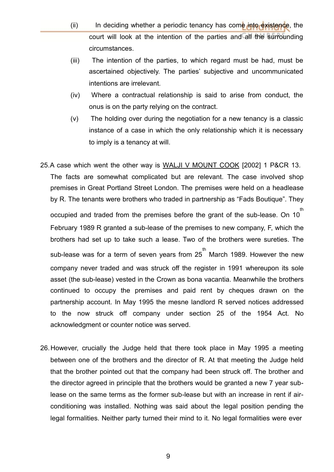- (ii) In deciding whether a periodic tenancy has come into existence, the court will look at the intention of the parties and all the surrounding circumstances.
- (iii) The intention of the parties, to which regard must be had, must be ascertained objectively. The parties' subjective and uncommunicated intentions are irrelevant.
- (iv) Where a contractual relationship is said to arise from conduct, the onus is on the party relying on the contract.
- (v) The holding over during the negotiation for a new tenancy is a classic instance of a case in which the only relationship which it is necessary to imply is a tenancy at will.
- 25.A case which went the other way is WALJI V MOUNT COOK [2002] 1 P&CR 13. The facts are somewhat complicated but are relevant. The case involved shop premises in Great Portland Street London. The premises were held on a headlease by R. The tenants were brothers who traded in partnership as "Fads Boutique". They occupied and traded from the premises before the grant of the sub-lease. On 10<sup>th</sup> February 1989 R granted a sub-lease of the premises to new company, F, which the brothers had set up to take such a lease. Two of the brothers were sureties. The sub-lease was for a term of seven years from 25<sup>th</sup> March 1989. However the new company never traded and was struck off the register in 1991 whereupon its sole asset (the sub-lease) vested in the Crown as bona vacantia. Meanwhile the brothers continued to occupy the premises and paid rent by cheques drawn on the partnership account. In May 1995 the mesne landlord R served notices addressed to the now struck off company under section 25 of the 1954 Act. No acknowledgment or counter notice was served.
- 26.However, crucially the Judge held that there took place in May 1995 a meeting between one of the brothers and the director of R. At that meeting the Judge held that the brother pointed out that the company had been struck off. The brother and the director agreed in principle that the brothers would be granted a new 7 year sublease on the same terms as the former sub-lease but with an increase in rent if airconditioning was installed. Nothing was said about the legal position pending the legal formalities. Neither party turned their mind to it. No legal formalities were ever

9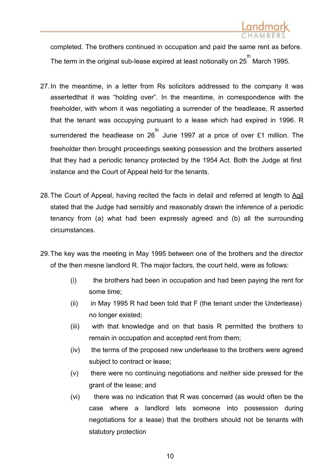

completed. The brothers continued in occupation and paid the same rent as before. The term in the original sub-lease expired at least notionally on 25  $^{\rm th}$  March 1995.

- 27.In the meantime, in a letter from Rs solicitors addressed to the company it was assertedthat it was "holding over". In the meantime, in correspondence with the freeholder, with whom it was negotiating a surrender of the headlease, R asserted that the tenant was occupying pursuant to a lease which had expired in 1996. R surrendered the headlease on 26<sup>th</sup> June 1997 at a price of over £1 million. The freeholder then brought proceedings seeking possession and the brothers asserted that they had a periodic tenancy protected by the 1954 Act. Both the Judge at first instance and the Court of Appeal held for the tenants.
- 28. The Court of Appeal, having recited the facts in detail and referred at length to Aqil stated that the Judge had sensibly and reasonably drawn the inference of a periodic tenancy from (a) what had been expressly agreed and (b) all the surrounding circumstances.
- 29.The key was the meeting in May 1995 between one of the brothers and the director of the then mesne landlord R. The major factors, the court held, were as follows:
	- (i) the brothers had been in occupation and had been paying the rent for some time;
	- (ii) in May 1995 R had been told that F (the tenant under the Underlease) no longer existed;
	- (iii) with that knowledge and on that basis R permitted the brothers to remain in occupation and accepted rent from them;
	- (iv) the terms of the proposed new underlease to the brothers were agreed subject to contract or lease;
	- (v) there were no continuing negotiations and neither side pressed for the grant of the lease; and
	- (vi) there was no indication that R was concerned (as would often be the case where a landlord lets someone into possession during negotiations for a lease) that the brothers should not be tenants with statutory protection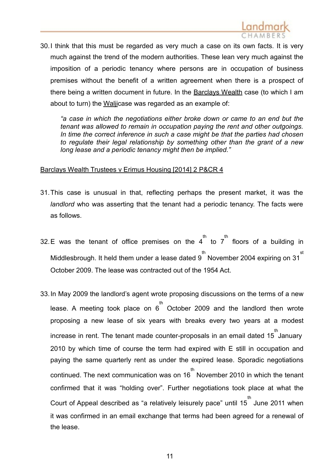

30.I think that this must be regarded as very much a case on its own facts. It is very much against the trend of the modern authorities. These lean very much against the imposition of a periodic tenancy where persons are in occupation of business premises without the benefit of a written agreement when there is a prospect of there being a written document in future. In the Barclays Wealth case (to which I am about to turn) the Waljicase was regarded as an example of:

*"a case in which the negotiations either broke down or came to an end but the tenant was allowed to remain in occupation paying the rent and other outgoings. In time the correct inference in such a case might be that the parties had chosen to regulate their legal relationship by something other than the grant of a new long lease and a periodic tenancy might then be implied."*

#### Barclays Wealth Trustees v Erimus Housing [2014] 2 P&CR 4

- 31.This case is unusual in that, reflecting perhaps the present market, it was the *landlord* who was asserting that the tenant had a periodic tenancy. The facts were as follows.
- 32.E was the tenant of office premises on the  $4^{th}$  to  $7^{th}$  floors of a building in Middlesbrough. It held them under a lease dated 9  $\overset{\text{th}}{ }$  November 2004 expiring on 31  $\overset{\text{st}}{ }$ October 2009. The lease was contracted out of the 1954 Act.
- 33.In May 2009 the landlord's agent wrote proposing discussions on the terms of a new lease. A meeting took place on  $6^{th}$  October 2009 and the landlord then wrote proposing a new lease of six years with breaks every two years at a modest increase in rent. The tenant made counter-proposals in an email dated 15 th January 2010 by which time of course the term had expired with E still in occupation and paying the same quarterly rent as under the expired lease. Sporadic negotiations continued. The next communication was on 16<sup>th</sup> November 2010 in which the tenant confirmed that it was "holding over". Further negotiations took place at what the Court of Appeal described as "a relatively leisurely pace" until 15 th June 2011 when it was confirmed in an email exchange that terms had been agreed for a renewal of the lease.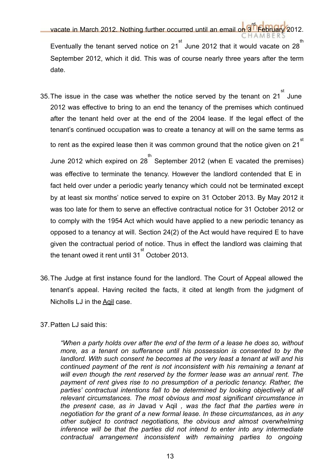vacate in March 2012. Nothing further occurred until an email on 3<sup>rd</sup> February 2012. Eventually the tenant served notice on 21<sup>st</sup> June 2012 that it would vacate on 28 th September 2012, which it did. This was of course nearly three years after the term date.

35. The issue in the case was whether the notice served by the tenant on 21  $^{\rm st}$  June 2012 was effective to bring to an end the tenancy of the premises which continued after the tenant held over at the end of the 2004 lease. If the legal effect of the tenant's continued occupation was to create a tenancy at will on the same terms as to rent as the expired lease then it was common ground that the notice given on 21 st June 2012 which expired on 28 th September 2012 (when E vacated the premises) was effective to terminate the tenancy. However the landlord contended that E in fact held over under a periodic yearly tenancy which could not be terminated except by at least six months' notice served to expire on 31 October 2013. By May 2012 it was too late for them to serve an effective contractual notice for 31 October 2012 or to comply with the [1954](http://login.westlaw.co.uk/maf/wluk/app/document?src=doc&linktype=ref&context=60&crumb-action=replace&docguid=I609AB1B0E42311DAA7CF8F68F6EE57AB) Act which would have applied to a new periodic tenancy as opposed to a tenancy at will. [Section 24\(2\)](http://login.westlaw.co.uk/maf/wluk/app/document?src=doc&linktype=ref&context=60&crumb-action=replace&docguid=I6A23A4B1E44811DA8D70A0E70A78ED65) of the Act would have required E to have given the contractual period of notice. Thus in effect the landlord was claiming that the tenant owed it rent until 31  $\overline{\phantom{a}^{\rm st}}$  October 2013.

- 36.The Judge at first instance found for the landlord. The Court of Appeal allowed the tenant's appeal. Having recited the facts, it cited at length from the judgment of Nicholls LJ in the Aqil case.
- 37.Patten LJ said this:

*"When a party holds over after the end of the term of a lease he does so, without more, as a tenant on sufferance until his possession is consented to by the landlord. With such consent he becomes at the very least a tenant at will and his continued payment of the rent is not inconsistent with his remaining a tenant at will even though the rent reserved by the former lease was an annual rent. The payment of rent gives rise to no presumption of a periodic tenancy. Rather, the parties' contractual intentions fall to be determined by looking objectively at all relevant circumstances. The most obvious and most significant circumstance in the present case, as in* [Javad](http://login.westlaw.co.uk/maf/wluk/app/document?src=doc&linktype=ref&context=60&crumb-action=replace&docguid=ICCA788C0E42711DA8FC2A0F0355337E9) v Aqil *, was the fact that the parties were in negotiation for the grant of a new formal lease. In these circumstances, as in any other subject to contract negotiations, the obvious and almost overwhelming inference will be that the parties did not intend to enter into any intermediate contractual arrangement inconsistent with remaining parties to ongoing*